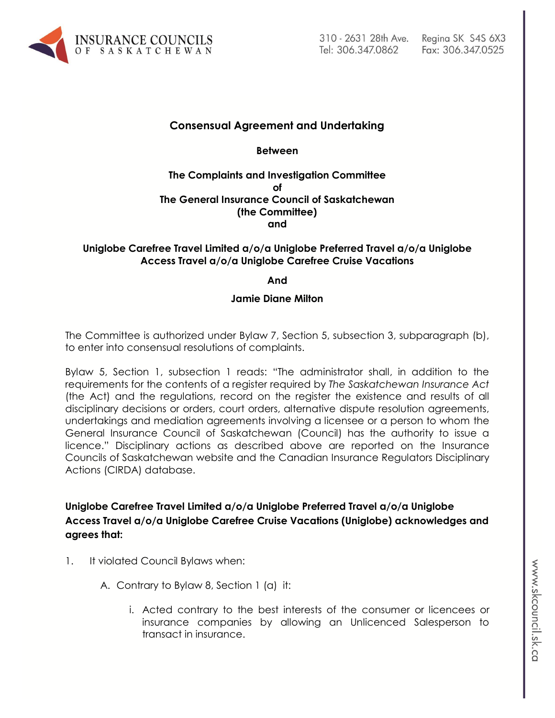

#### **Consensual Agreement and Undertaking**

**Between**

**The Complaints and Investigation Committee of The General Insurance Council of Saskatchewan (the Committee) and**

#### **Uniglobe Carefree Travel Limited a/o/a Uniglobe Preferred Travel a/o/a Uniglobe Access Travel a/o/a Uniglobe Carefree Cruise Vacations**

#### **And**

#### **Jamie Diane Milton**

The Committee is authorized under Bylaw 7, Section 5, subsection 3, subparagraph (b), to enter into consensual resolutions of complaints.

Bylaw 5, Section 1, subsection 1 reads: "The administrator shall, in addition to the requirements for the contents of a register required by *The Saskatchewan Insurance Act* (the Act) and the regulations, record on the register the existence and results of all disciplinary decisions or orders, court orders, alternative dispute resolution agreements, undertakings and mediation agreements involving a licensee or a person to whom the General Insurance Council of Saskatchewan (Council) has the authority to issue a licence." Disciplinary actions as described above are reported on the Insurance Councils of Saskatchewan website and the Canadian Insurance Regulators Disciplinary Actions (CIRDA) database.

**Uniglobe Carefree Travel Limited a/o/a Uniglobe Preferred Travel a/o/a Uniglobe Access Travel a/o/a Uniglobe Carefree Cruise Vacations (Uniglobe) acknowledges and agrees that:**

- 1. It violated Council Bylaws when:
	- A. Contrary to Bylaw 8, Section 1 (a) it:
		- i. Acted contrary to the best interests of the consumer or licencees or insurance companies by allowing an Unlicenced Salesperson to transact in insurance.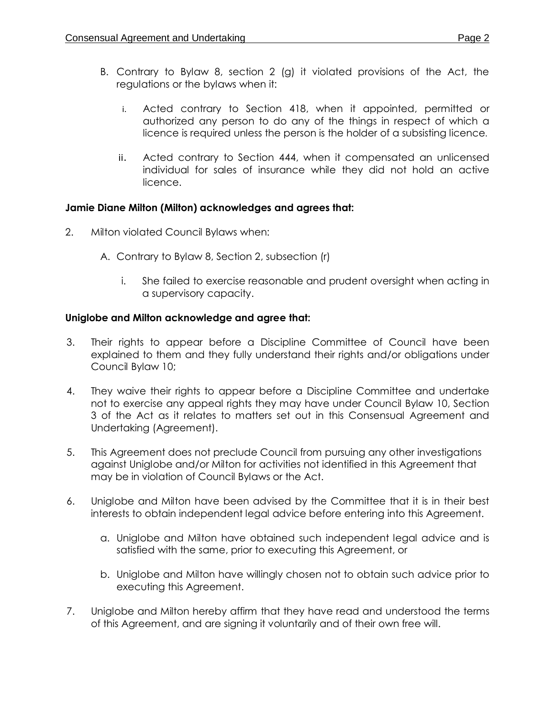- B. Contrary to Bylaw 8, section 2 (g) it violated provisions of the Act, the regulations or the bylaws when it:
	- i. Acted contrary to Section 418, when it appointed, permitted or authorized any person to do any of the things in respect of which a licence is required unless the person is the holder of a subsisting licence.
	- ii. Acted contrary to Section 444, when it compensated an unlicensed individual for sales of insurance while they did not hold an active licence.

# **Jamie Diane Milton (Milton) acknowledges and agrees that:**

- 2. Milton violated Council Bylaws when:
	- A. Contrary to Bylaw 8, Section 2, subsection (r)
		- i. She failed to exercise reasonable and prudent oversight when acting in a supervisory capacity.

### **Uniglobe and Milton acknowledge and agree that:**

- 3. Their rights to appear before a Discipline Committee of Council have been explained to them and they fully understand their rights and/or obligations under Council Bylaw 10;
- 4. They waive their rights to appear before a Discipline Committee and undertake not to exercise any appeal rights they may have under Council Bylaw 10, Section 3 of the Act as it relates to matters set out in this Consensual Agreement and Undertaking (Agreement).
- 5. This Agreement does not preclude Council from pursuing any other investigations against Uniglobe and/or Milton for activities not identified in this Agreement that may be in violation of Council Bylaws or the Act.
- 6. Uniglobe and Milton have been advised by the Committee that it is in their best interests to obtain independent legal advice before entering into this Agreement.
	- a. Uniglobe and Milton have obtained such independent legal advice and is satisfied with the same, prior to executing this Agreement, or
	- b. Uniglobe and Milton have willingly chosen not to obtain such advice prior to executing this Agreement.
- 7. Uniglobe and Milton hereby affirm that they have read and understood the terms of this Agreement, and are signing it voluntarily and of their own free will.